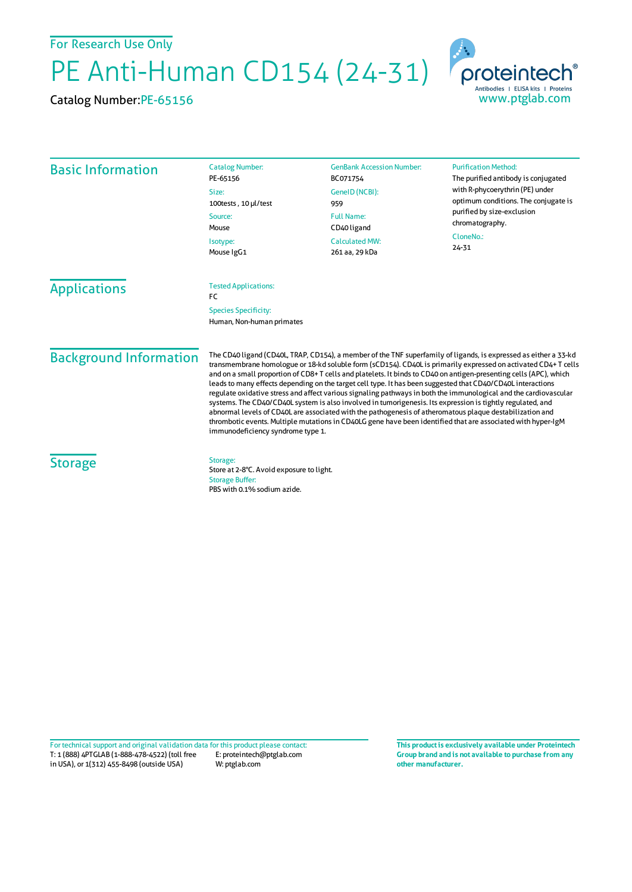For Research Use Only

PE Anti-Human CD154 (24-31)

Catalog Number:PE-65156



| <b>Basic Information</b>             | <b>Catalog Number:</b><br>PE-65156<br>Size:                        | <b>GenBank Accession Number:</b><br>BC071754<br>GeneID (NCBI):                                 | <b>Purification Method:</b><br>The purified antibody is conjugated<br>with R-phycoerythrin (PE) under<br>optimum conditions. The conjugate is<br>purified by size-exclusion<br>chromatography.<br>CloneNo.:<br>$24 - 31$ |                     |                                                          |  |  |
|--------------------------------------|--------------------------------------------------------------------|------------------------------------------------------------------------------------------------|--------------------------------------------------------------------------------------------------------------------------------------------------------------------------------------------------------------------------|---------------------|----------------------------------------------------------|--|--|
|                                      | 100tests, 10 µl/test<br>Source:<br>Mouse<br>Isotype:<br>Mouse IgG1 | 959<br><b>Full Name:</b><br>CD <sub>40</sub> ligand<br><b>Calculated MW:</b><br>261 aa, 29 kDa |                                                                                                                                                                                                                          |                     |                                                          |  |  |
|                                      |                                                                    |                                                                                                |                                                                                                                                                                                                                          | <b>Applications</b> | <b>Tested Applications:</b><br><b>FC</b>                 |  |  |
|                                      |                                                                    |                                                                                                |                                                                                                                                                                                                                          |                     | <b>Species Specificity:</b><br>Human, Non-human primates |  |  |
| <b>A</b> 1979<br>$\mathbf{r}$<br>. . |                                                                    |                                                                                                | The CD(0 ligand $(CD)$ 0 TDAD CD15 <sup>1</sup> ) a member of the TNE cuperfamily of ligands is everyosed as either a 77 kd.                                                                                             |                     |                                                          |  |  |

## Background Information

The CD40 ligand (CD40L, TRAP, CD154), a member of the TNF superfamily of ligands, is expressed as either a 33-kd transmembrane homologue or 18-kd soluble form (sCD154). CD40L is primarily expressed on activated CD4+ T cells and on a small proportion of CD8+ T cells and platelets. It binds to CD40 on antigen-presenting cells (APC), which leads to many effects depending on the target cell type. It has been suggested that CD40/CD40L interactions regulate oxidative stress and affect various signaling pathways in both the immunological and the cardiovascular systems. The CD40/CD40L system is also involved in tumorigenesis. Its expression istightly regulated, and abnormal levels of CD40L are associatedwith the pathogenesis of atheromatous plaque destabilization and thrombotic events. Multiple mutations in CD40LG gene have been identified that are associated with hyper-IgM immunodeficiency syndrome type 1.

## **Storage**

Storage: Store at 2-8°C. Avoid exposure to light. Storage Buffer: PBS with 0.1% sodium azide.

T: 1 (888) 4PTGLAB (1-888-478-4522) (toll free in USA), or 1(312) 455-8498 (outside USA) E: proteintech@ptglab.com W: ptglab.com Fortechnical support and original validation data forthis product please contact: **This productis exclusively available under Proteintech**

**Group brand and is not available to purchase from any other manufacturer.**